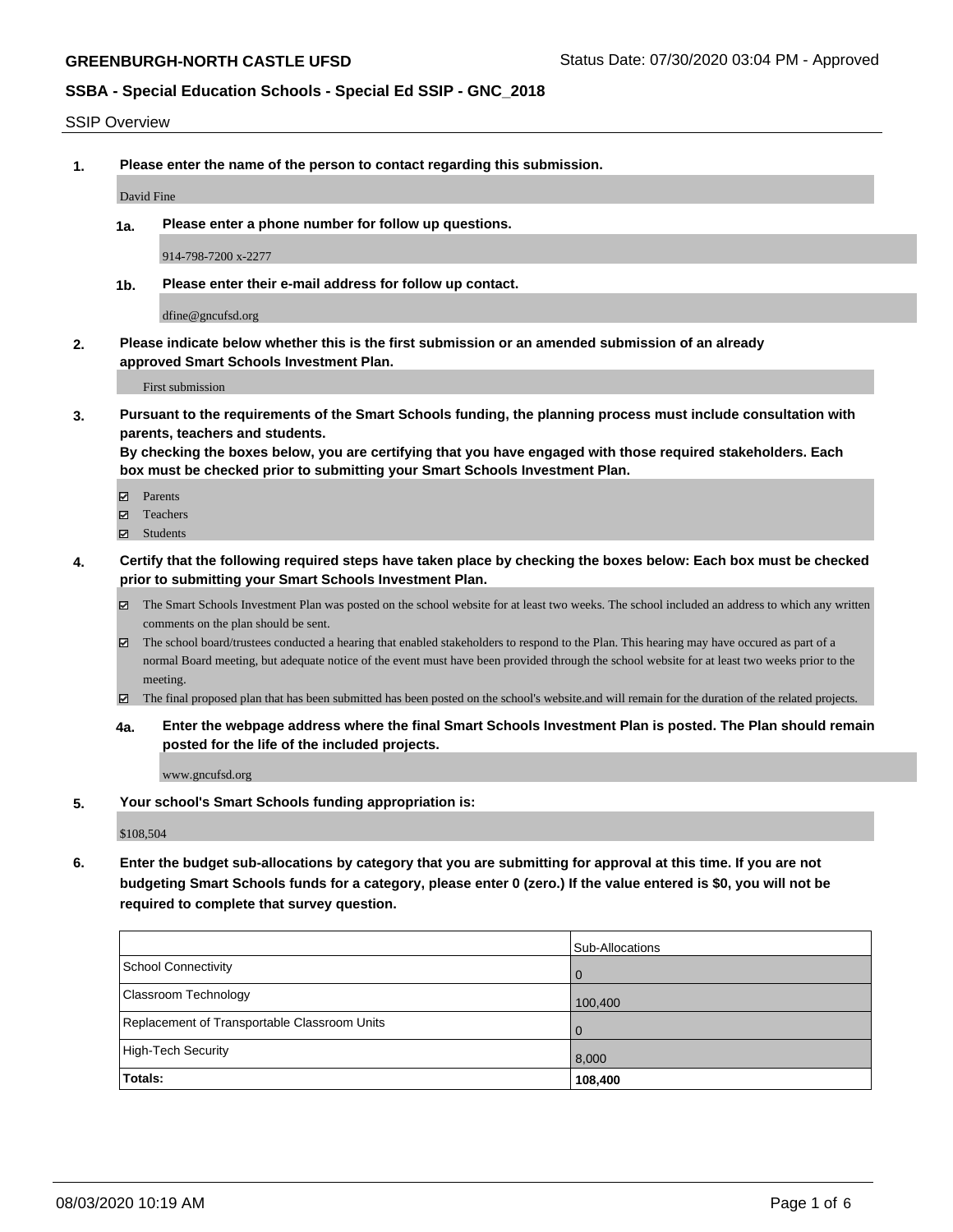#### SSIP Overview

**1. Please enter the name of the person to contact regarding this submission.**

David Fine

**1a. Please enter a phone number for follow up questions.**

914-798-7200 x-2277

**1b. Please enter their e-mail address for follow up contact.**

dfine@gncufsd.org

**2. Please indicate below whether this is the first submission or an amended submission of an already approved Smart Schools Investment Plan.**

First submission

**3. Pursuant to the requirements of the Smart Schools funding, the planning process must include consultation with parents, teachers and students.**

**By checking the boxes below, you are certifying that you have engaged with those required stakeholders. Each box must be checked prior to submitting your Smart Schools Investment Plan.**

- Parents
- Teachers
- Students
- **4. Certify that the following required steps have taken place by checking the boxes below: Each box must be checked prior to submitting your Smart Schools Investment Plan.**
	- The Smart Schools Investment Plan was posted on the school website for at least two weeks. The school included an address to which any written comments on the plan should be sent.
	- The school board/trustees conducted a hearing that enabled stakeholders to respond to the Plan. This hearing may have occured as part of a normal Board meeting, but adequate notice of the event must have been provided through the school website for at least two weeks prior to the meeting.
	- The final proposed plan that has been submitted has been posted on the school's website.and will remain for the duration of the related projects.
	- **4a. Enter the webpage address where the final Smart Schools Investment Plan is posted. The Plan should remain posted for the life of the included projects.**

www.gncufsd.org

**5. Your school's Smart Schools funding appropriation is:**

\$108,504

**6. Enter the budget sub-allocations by category that you are submitting for approval at this time. If you are not budgeting Smart Schools funds for a category, please enter 0 (zero.) If the value entered is \$0, you will not be required to complete that survey question.**

|                                              | <b>Sub-Allocations</b> |
|----------------------------------------------|------------------------|
| School Connectivity                          | $\overline{0}$         |
| <b>Classroom Technology</b>                  | 100,400                |
| Replacement of Transportable Classroom Units | $\overline{0}$         |
| High-Tech Security                           | 8,000                  |
| Totals:                                      | 108,400                |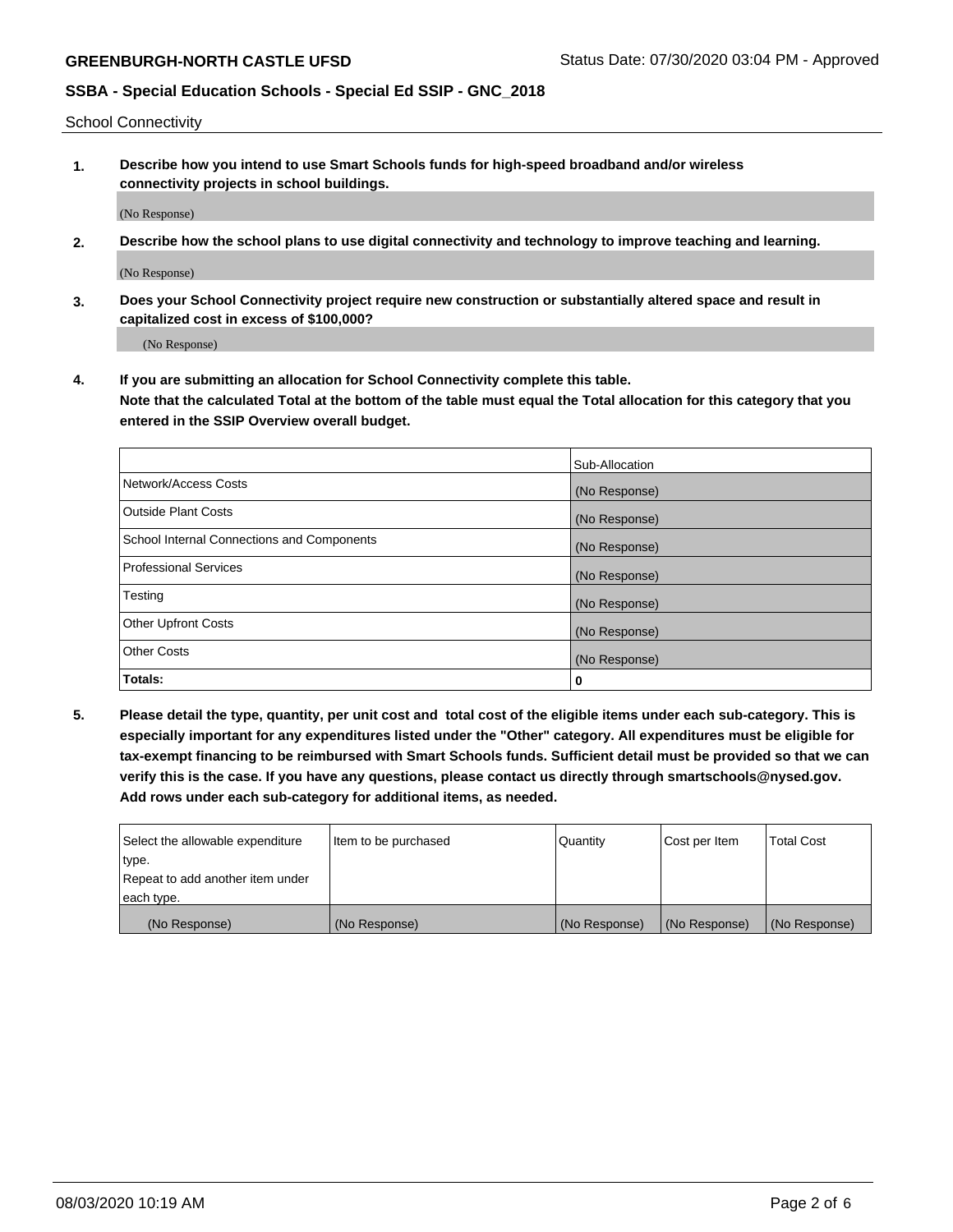School Connectivity

**1. Describe how you intend to use Smart Schools funds for high-speed broadband and/or wireless connectivity projects in school buildings.**

(No Response)

**2. Describe how the school plans to use digital connectivity and technology to improve teaching and learning.**

(No Response)

**3. Does your School Connectivity project require new construction or substantially altered space and result in capitalized cost in excess of \$100,000?**

(No Response)

**4. If you are submitting an allocation for School Connectivity complete this table. Note that the calculated Total at the bottom of the table must equal the Total allocation for this category that you entered in the SSIP Overview overall budget.** 

|                                            | Sub-Allocation |
|--------------------------------------------|----------------|
| Network/Access Costs                       | (No Response)  |
| <b>Outside Plant Costs</b>                 | (No Response)  |
| School Internal Connections and Components | (No Response)  |
| Professional Services                      | (No Response)  |
| Testing                                    | (No Response)  |
| <b>Other Upfront Costs</b>                 | (No Response)  |
| <b>Other Costs</b>                         | (No Response)  |
| Totals:                                    | 0              |

**5. Please detail the type, quantity, per unit cost and total cost of the eligible items under each sub-category. This is especially important for any expenditures listed under the "Other" category. All expenditures must be eligible for tax-exempt financing to be reimbursed with Smart Schools funds. Sufficient detail must be provided so that we can verify this is the case. If you have any questions, please contact us directly through smartschools@nysed.gov. Add rows under each sub-category for additional items, as needed.**

| each type.<br>(No Response)      | (No Response)          | (No Response) | (No Response) | (No Response)     |
|----------------------------------|------------------------|---------------|---------------|-------------------|
|                                  |                        |               |               |                   |
| Repeat to add another item under |                        |               |               |                   |
| ∣type.                           |                        |               |               |                   |
| Select the allowable expenditure | I Item to be purchased | Quantity      | Cost per Item | <b>Total Cost</b> |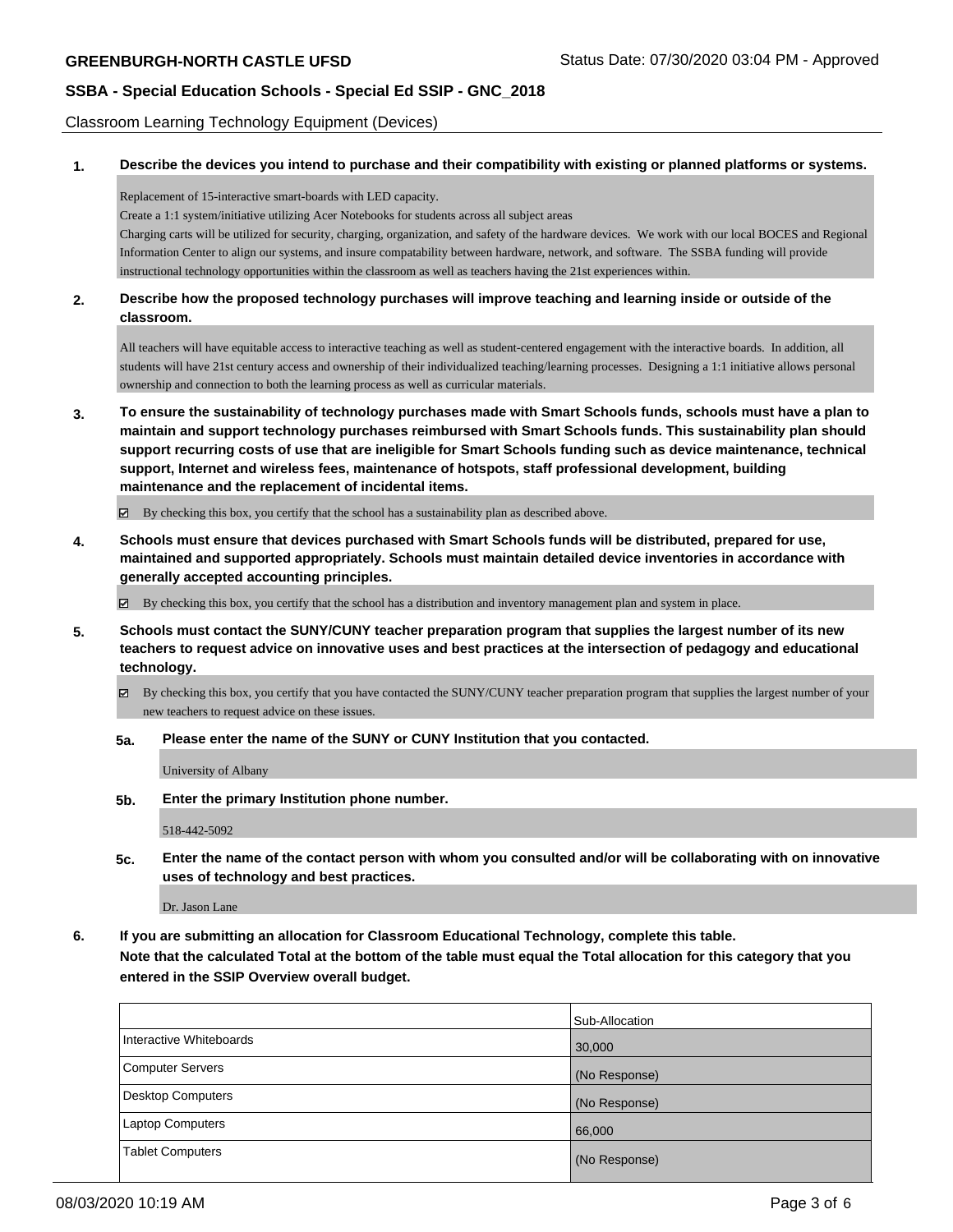Classroom Learning Technology Equipment (Devices)

### **1. Describe the devices you intend to purchase and their compatibility with existing or planned platforms or systems.**

Replacement of 15-interactive smart-boards with LED capacity.

Create a 1:1 system/initiative utilizing Acer Notebooks for students across all subject areas

Charging carts will be utilized for security, charging, organization, and safety of the hardware devices. We work with our local BOCES and Regional Information Center to align our systems, and insure compatability between hardware, network, and software. The SSBA funding will provide instructional technology opportunities within the classroom as well as teachers having the 21st experiences within.

### **2. Describe how the proposed technology purchases will improve teaching and learning inside or outside of the classroom.**

All teachers will have equitable access to interactive teaching as well as student-centered engagement with the interactive boards. In addition, all students will have 21st century access and ownership of their individualized teaching/learning processes. Designing a 1:1 initiative allows personal ownership and connection to both the learning process as well as curricular materials.

**3. To ensure the sustainability of technology purchases made with Smart Schools funds, schools must have a plan to maintain and support technology purchases reimbursed with Smart Schools funds. This sustainability plan should support recurring costs of use that are ineligible for Smart Schools funding such as device maintenance, technical support, Internet and wireless fees, maintenance of hotspots, staff professional development, building maintenance and the replacement of incidental items.**

By checking this box, you certify that the school has a sustainability plan as described above.

**4. Schools must ensure that devices purchased with Smart Schools funds will be distributed, prepared for use, maintained and supported appropriately. Schools must maintain detailed device inventories in accordance with generally accepted accounting principles.**

By checking this box, you certify that the school has a distribution and inventory management plan and system in place.

- **5. Schools must contact the SUNY/CUNY teacher preparation program that supplies the largest number of its new teachers to request advice on innovative uses and best practices at the intersection of pedagogy and educational technology.**
	- By checking this box, you certify that you have contacted the SUNY/CUNY teacher preparation program that supplies the largest number of your new teachers to request advice on these issues.
	- **5a. Please enter the name of the SUNY or CUNY Institution that you contacted.**

University of Albany

**5b. Enter the primary Institution phone number.**

518-442-5092

**5c. Enter the name of the contact person with whom you consulted and/or will be collaborating with on innovative uses of technology and best practices.**

Dr. Jason Lane

**6. If you are submitting an allocation for Classroom Educational Technology, complete this table. Note that the calculated Total at the bottom of the table must equal the Total allocation for this category that you entered in the SSIP Overview overall budget.**

|                          | Sub-Allocation |
|--------------------------|----------------|
| Interactive Whiteboards  | 30,000         |
| Computer Servers         | (No Response)  |
| <b>Desktop Computers</b> | (No Response)  |
| Laptop Computers         | 66,000         |
| <b>Tablet Computers</b>  | (No Response)  |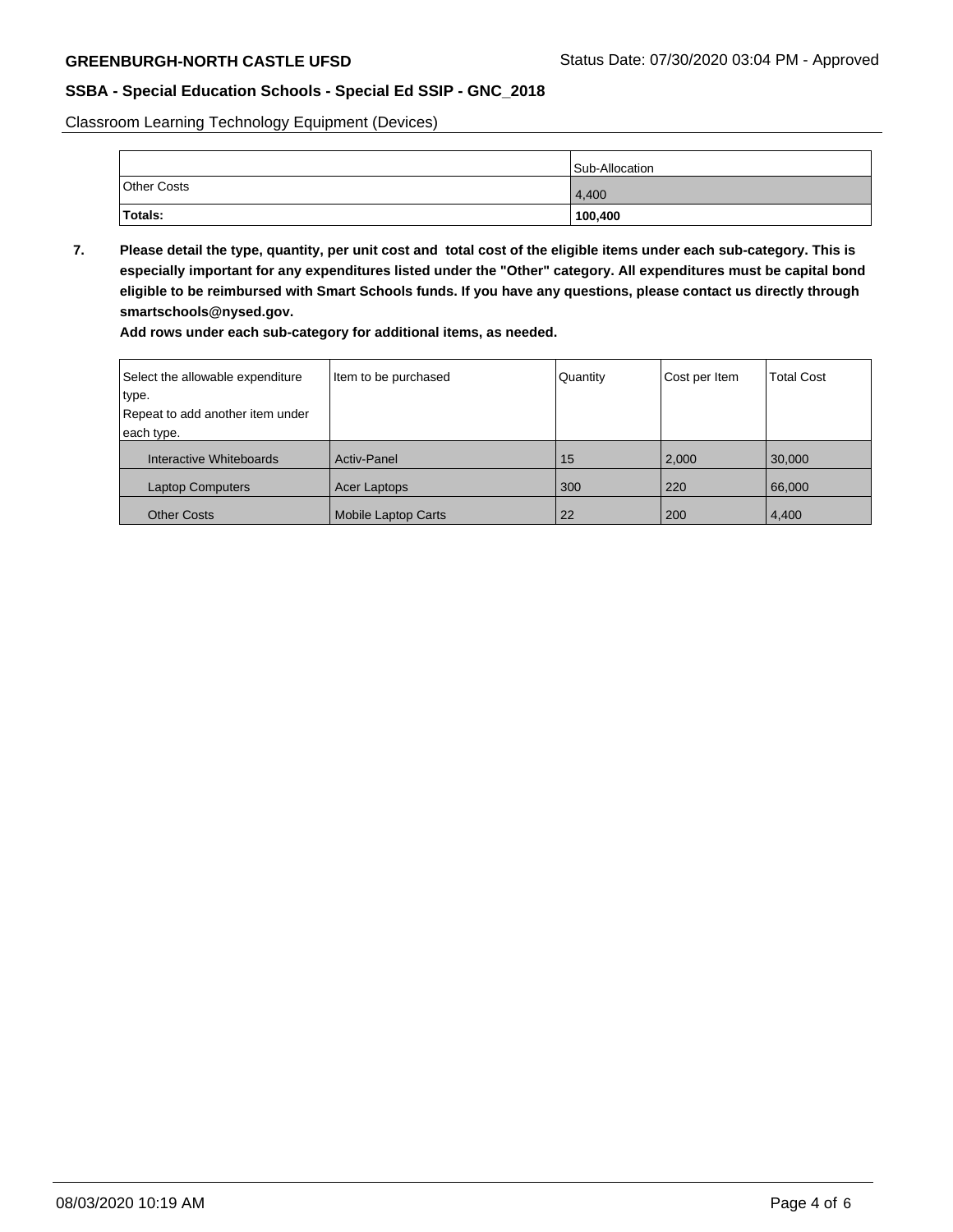Classroom Learning Technology Equipment (Devices)

|                    | Sub-Allocation |
|--------------------|----------------|
| <b>Other Costs</b> | 4,400          |
| Totals:            | 100,400        |

**7. Please detail the type, quantity, per unit cost and total cost of the eligible items under each sub-category. This is especially important for any expenditures listed under the "Other" category. All expenditures must be capital bond eligible to be reimbursed with Smart Schools funds. If you have any questions, please contact us directly through smartschools@nysed.gov.**

**Add rows under each sub-category for additional items, as needed.**

| Select the allowable expenditure | Item to be purchased       | Quantity | Cost per Item | <b>Total Cost</b> |
|----------------------------------|----------------------------|----------|---------------|-------------------|
| type.                            |                            |          |               |                   |
| Repeat to add another item under |                            |          |               |                   |
| each type.                       |                            |          |               |                   |
| Interactive Whiteboards          | <b>Activ-Panel</b>         | 15       | 2,000         | 30,000            |
| <b>Laptop Computers</b>          | Acer Laptops               | 300      | 220           | 66,000            |
| <b>Other Costs</b>               | <b>Mobile Laptop Carts</b> | 22       | 200           | 4,400             |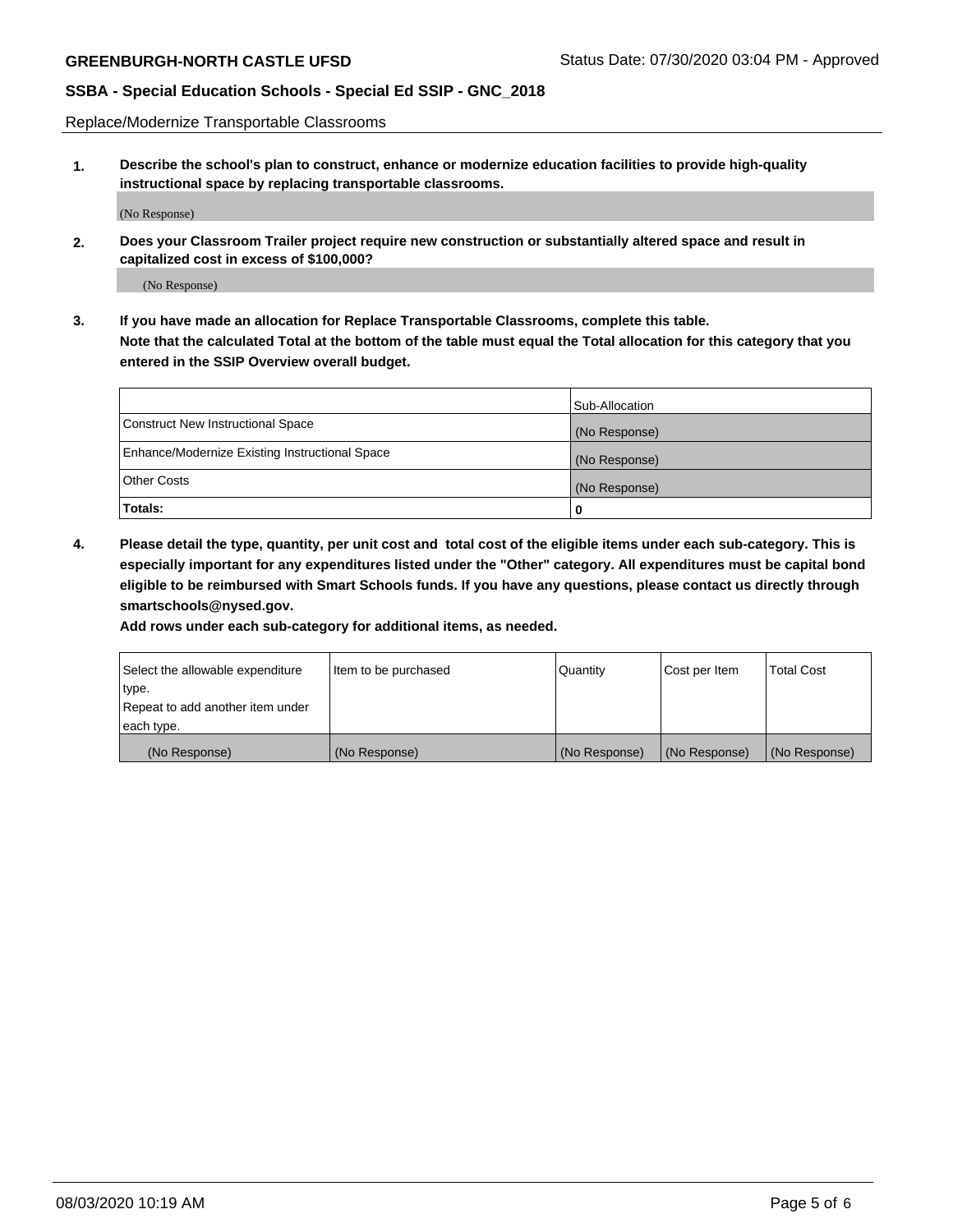Replace/Modernize Transportable Classrooms

**1. Describe the school's plan to construct, enhance or modernize education facilities to provide high-quality instructional space by replacing transportable classrooms.**

(No Response)

**2. Does your Classroom Trailer project require new construction or substantially altered space and result in capitalized cost in excess of \$100,000?**

(No Response)

**3. If you have made an allocation for Replace Transportable Classrooms, complete this table. Note that the calculated Total at the bottom of the table must equal the Total allocation for this category that you entered in the SSIP Overview overall budget.**

|                                                | Sub-Allocation |
|------------------------------------------------|----------------|
| Construct New Instructional Space              | (No Response)  |
| Enhance/Modernize Existing Instructional Space | (No Response)  |
| Other Costs                                    | (No Response)  |
| Totals:                                        | 0              |

**4. Please detail the type, quantity, per unit cost and total cost of the eligible items under each sub-category. This is especially important for any expenditures listed under the "Other" category. All expenditures must be capital bond eligible to be reimbursed with Smart Schools funds. If you have any questions, please contact us directly through smartschools@nysed.gov.**

**Add rows under each sub-category for additional items, as needed.**

| Select the allowable expenditure | lltem to be purchased | Quantity      | Cost per Item | <b>Total Cost</b> |
|----------------------------------|-----------------------|---------------|---------------|-------------------|
| type.                            |                       |               |               |                   |
| Repeat to add another item under |                       |               |               |                   |
| each type.                       |                       |               |               |                   |
| (No Response)                    | (No Response)         | (No Response) | (No Response) | (No Response)     |